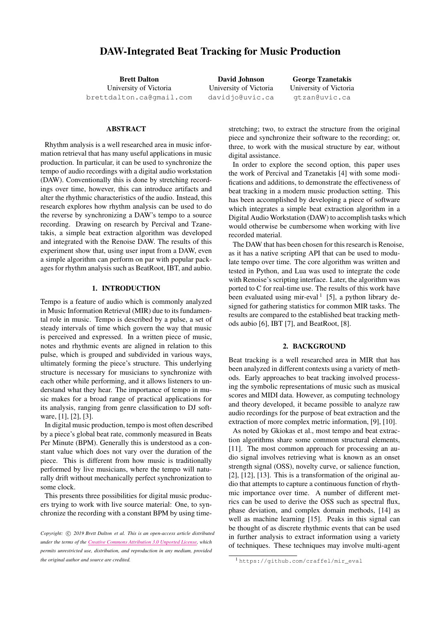# DAW-Integrated Beat Tracking for Music Production

Brett Dalton University of Victoria [brettdalton.ca@gmail.com](mailto:brettdalton.ca@gmail.com)

David Johnson University of Victoria [davidjo@uvic.ca](mailto:davidjo@uvic.ca)

George Tzanetakis University of Victoria [gtzan@uvic.ca](mailto:gtzan@uvic.ca)

## ABSTRACT

Rhythm analysis is a well researched area in music information retrieval that has many useful applications in music production. In particular, it can be used to synchronize the tempo of audio recordings with a digital audio workstation (DAW). Conventionally this is done by stretching recordings over time, however, this can introduce artifacts and alter the rhythmic characteristics of the audio. Instead, this research explores how rhythm analysis can be used to do the reverse by synchronizing a DAW's tempo to a source recording. Drawing on research by Percival and Tzanetakis, a simple beat extraction algorithm was developed and integrated with the Renoise DAW. The results of this experiment show that, using user input from a DAW, even a simple algorithm can perform on par with popular packages for rhythm analysis such as BeatRoot, IBT, and aubio.

### 1. INTRODUCTION

Tempo is a feature of audio which is commonly analyzed in Music Information Retrieval (MIR) due to its fundamental role in music. Tempo is described by a pulse, a set of steady intervals of time which govern the way that music is perceived and expressed. In a written piece of music, notes and rhythmic events are aligned in relation to this pulse, which is grouped and subdivided in various ways, ultimately forming the piece's structure. This underlying structure is necessary for musicians to synchronize with each other while performing, and it allows listeners to understand what they hear. The importance of tempo in music makes for a broad range of practical applications for its analysis, ranging from genre classification to DJ software, [\[1\]](#page-4-0), [\[2\]](#page-4-1), [\[3\]](#page-4-2).

In digital music production, tempo is most often described by a piece's global beat rate, commonly measured in Beats Per Minute (BPM). Generally this is understood as a constant value which does not vary over the duration of the piece. This is different from how music is traditionally performed by live musicians, where the tempo will naturally drift without mechanically perfect synchronization to some clock.

This presents three possibilities for digital music producers trying to work with live source material: One, to synchronize the recording with a constant BPM by using timestretching; two, to extract the structure from the original piece and synchronize their software to the recording; or, three, to work with the musical structure by ear, without digital assistance.

In order to explore the second option, this paper uses the work of Percival and Tzanetakis [\[4\]](#page-4-3) with some modifications and additions, to demonstrate the effectiveness of beat tracking in a modern music production setting. This has been accomplished by developing a piece of software which integrates a simple beat extraction algorithm in a Digital Audio Workstation (DAW) to accomplish tasks which would otherwise be cumbersome when working with live recorded material.

The DAW that has been chosen for this research is Renoise, as it has a native scripting API that can be used to modulate tempo over time. The core algorithm was written and tested in Python, and Lua was used to integrate the code with Renoise's scripting interface. Later, the algorithm was ported to C for real-time use. The results of this work have been evaluated using mir-eval  $1$  [\[5\]](#page-4-4), a python library designed for gathering statistics for common MIR tasks. The results are compared to the established beat tracking methods aubio [\[6\]](#page-4-5), IBT [\[7\]](#page-4-6), and BeatRoot, [\[8\]](#page-4-7).

## 2. BACKGROUND

Beat tracking is a well researched area in MIR that has been analyzed in different contexts using a variety of methods. Early approaches to beat tracking involved processing the symbolic representations of music such as musical scores and MIDI data. However, as computing technology and theory developed, it became possible to analyze raw audio recordings for the purpose of beat extraction and the extraction of more complex metric information, [\[9\]](#page-4-8), [\[10\]](#page-4-9).

As noted by Gkiokas et al., most tempo and beat extraction algorithms share some common structural elements, [\[11\]](#page-4-10). The most common approach for processing an audio signal involves retrieving what is known as an onset strength signal (OSS), novelty curve, or salience function, [\[2\]](#page-4-1), [\[12\]](#page-4-11), [\[13\]](#page-4-12). This is a transformation of the original audio that attempts to capture a continuous function of rhythmic importance over time. A number of different metrics can be used to derive the OSS such as spectral flux, phase deviation, and complex domain methods, [\[14\]](#page-4-13) as well as machine learning [\[15\]](#page-4-14). Peaks in this signal can be thought of as discrete rhythmic events that can be used in further analysis to extract information using a variety of techniques. These techniques may involve multi-agent

*Copyright:*  $\circled{c}$  *2019 Brett Dalton et al. This is an open-access article distributed under the terms of the Creative Commons [Attribution](http://creativecommons.org/licenses/by/3.0/) 3.0 Unported License, which permits unrestricted use, distribution, and reproduction in any medium, provided the original author and source are credited.*

<span id="page-0-0"></span><sup>1</sup> [https://github.com/craffel/mir\\_eval](https://github.com/craffel/mir_eval)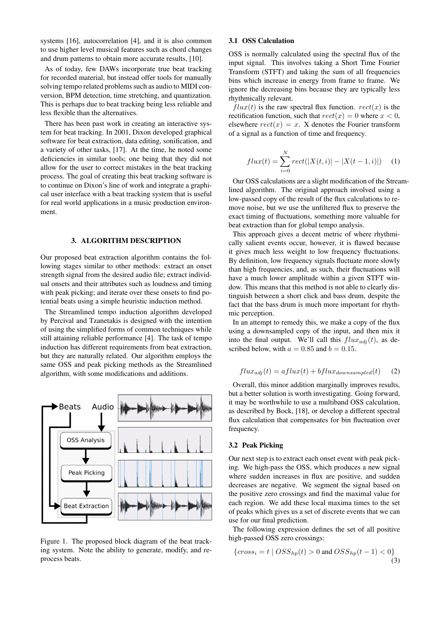systems [\[16\]](#page-4-15), autocorrelation [\[4\]](#page-4-3), and it is also common to use higher level musical features such as chord changes and drum patterns to obtain more accurate results, [\[10\]](#page-4-9).

As of today, few DAWs incorporate true beat tracking for recorded material, but instead offer tools for manually solving tempo related problems such as audio to MIDI conversion, BPM detection, time stretching, and quantization. This is perhaps due to beat tracking being less reliable and less flexible than the alternatives.

There has been past work in creating an interactive system for beat tracking. In 2001, Dixon developed graphical software for beat extraction, data editing, sonification, and a variety of other tasks, [\[17\]](#page-4-16). At the time, he noted some deficiencies in similar tools; one being that they did not allow for the user to correct mistakes in the beat tracking process. The goal of creating this beat tracking software is to continue on Dixon's line of work and integrate a graphical user interface with a beat tracking system that is useful for real world applications in a music production environment.

#### 3. ALGORITHM DESCRIPTION

Our proposed beat extraction algorithm contains the following stages similar to other methods: extract an onset strength signal from the desired audio file; extract individual onsets and their attributes such as loudness and timing with peak picking; and iterate over these onsets to find potential beats using a simple heuristic induction method.

The Streamlined tempo induction algorithm developed by Percival and Tzanetakis is designed with the intention of using the simplified forms of common techniques while still attaining reliable performance [\[4\]](#page-4-3). The task of tempo induction has different requirements from beat extraction, but they are naturally related. Our algorithm employs the same OSS and peak picking methods as the Streamlined algorithm, with some modifications and additions.

<span id="page-1-0"></span>

Figure 1. The proposed block diagram of the beat tracking system. Note the ability to generate, modify, and reprocess beats.

#### 3.1 OSS Calculation

OSS is normally calculated using the spectral flux of the input signal. This involves taking a Short Time Fourier Transform (STFT) and taking the sum of all frequencies bins which increase in energy from frame to frame. We ignore the decreasing bins because they are typically less rhythmically relevant.

 $flux(t)$  is the raw spectral flux function.  $rect(x)$  is the rectification function, such that  $rect(x) = 0$  where  $x < 0$ , elsewhere  $rect(x) = x$ . X denotes the Fourier transform of a signal as a function of time and frequency.

$$
flux(t) = \sum_{i=0}^{N} rect(|X(t, i)| - |X(t - 1, i)|)
$$
 (1)

Our OSS calculations are a slight modification of the Streamlined algorithm. The original approach involved using a low-passed copy of the result of the flux calculations to remove noise, but we use the unfiltered flux to preserve the exact timing of fluctuations, something more valuable for beat extraction than for global tempo analysis.

This approach gives a decent metric of where rhythmically salient events occur, however, it is flawed because it gives much less weight to low frequency fluctuations. By definition, low frequency signals fluctuate more slowly than high frequencies, and, as such, their fluctuations will have a much lower amplitude within a given STFT window. This means that this method is not able to clearly distinguish between a short click and bass drum, despite the fact that the bass drum is much more important for rhythmic perception.

In an attempt to remedy this, we make a copy of the flux using a downsampled copy of the input, and then mix it into the final output. We'll call this  $flux_{adj}(t)$ , as described below, with  $a = 0.85$  and  $b = 0.15$ .

$$
flux_{adj}(t) = aflux(t) + bflux_{downsampled}(t) \tag{2}
$$

Overall, this minor addition marginally improves results, but a better solution is worth investigating. Going forward, it may be worthwhile to use a multiband OSS calculation, as described by Bock, [\[18\]](#page-4-17), or develop a different spectral flux calculation that compensates for bin fluctuation over frequency.

#### 3.2 Peak Picking

Our next step is to extract each onset event with peak picking. We high-pass the OSS, which produces a new signal where sudden increases in flux are positive, and sudden decreases are negative. We segment the signal based on the positive zero crossings and find the maximal value for each region. We add these local maxima times to the set of peaks which gives us a set of discrete events that we can use for our final prediction.

The following expression defines the set of all positive high-passed OSS zero crossings:

$$
\{cross_i = t \mid OSS_{hp}(t) > 0 \text{ and } OSS_{hp}(t-1) < 0\}
$$
\n
$$
\tag{3}
$$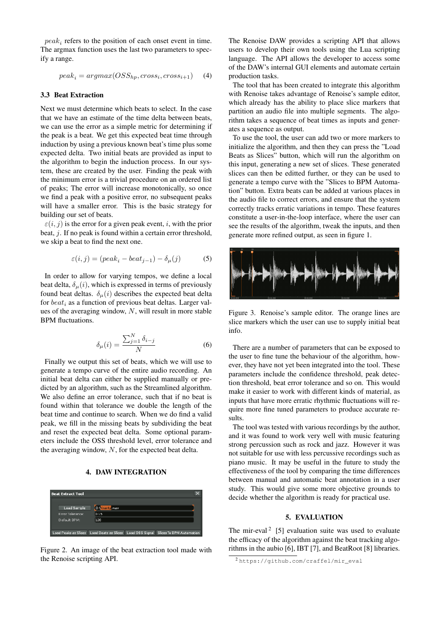$peak<sub>i</sub>$  refers to the position of each onset event in time. The argmax function uses the last two parameters to specify a range.

$$
peak_i = argmax(OSS_{hp}, cross_i, cross_{i+1}) \tag{4}
$$

#### 3.3 Beat Extraction

Next we must determine which beats to select. In the case that we have an estimate of the time delta between beats, we can use the error as a simple metric for determining if the peak is a beat. We get this expected beat time through induction by using a previous known beat's time plus some expected delta. Two initial beats are provided as input to the algorithm to begin the induction process. In our system, these are created by the user. Finding the peak with the minimum error is a trivial procedure on an ordered list of peaks; The error will increase monotonically, so once we find a peak with a positive error, no subsequent peaks will have a smaller error. This is the basic strategy for building our set of beats.

 $\varepsilon(i, j)$  is the error for a given peak event, i, with the prior beat, *j*. If no peak is found within a certain error threshold, we skip a beat to find the next one.

$$
\varepsilon(i,j) = (peak_i - beat_{j-1}) - \delta_{\mu}(j)
$$
 (5)

In order to allow for varying tempos, we define a local beat delta,  $\delta_{\mu}(i)$ , which is expressed in terms of previously found beat deltas.  $\delta_{\mu}(i)$  describes the expected beat delta for  $beat<sub>i</sub>$  as a function of previous beat deltas. Larger values of the averaging window,  $N$ , will result in more stable BPM fluctuations.

$$
\delta_{\mu}(i) = \frac{\sum_{j=1}^{N} \delta_{i-j}}{N}
$$
\n(6)

Finally we output this set of beats, which we will use to generate a tempo curve of the entire audio recording. An initial beat delta can either be supplied manually or predicted by an algorithm, such as the Streamlined algorithm. We also define an error tolerance, such that if no beat is found within that tolerance we double the length of the beat time and continue to search. When we do find a valid peak, we fill in the missing beats by subdividing the beat and reset the expected beat delta. Some optional parameters include the OSS threshold level, error tolerance and the averaging window,  $N$ , for the expected beat delta.

### 4. DAW INTEGRATION



Figure 2. An image of the beat extraction tool made with the Renoise scripting API.

The Renoise DAW provides a scripting API that allows users to develop their own tools using the Lua scripting language. The API allows the developer to access some of the DAW's internal GUI elements and automate certain production tasks.

The tool that has been created to integrate this algorithm with Renoise takes advantage of Renoise's sample editor, which already has the ability to place slice markers that partition an audio file into multiple segments. The algorithm takes a sequence of beat times as inputs and generates a sequence as output.

To use the tool, the user can add two or more markers to initialize the algorithm, and then they can press the "Load Beats as Slices" button, which will run the algorithm on this input, generating a new set of slices. These generated slices can then be editted further, or they can be used to generate a tempo curve with the "Slices to BPM Automation" button. Extra beats can be added at various places in the audio file to correct errors, and ensure that the system correctly tracks erratic variations in tempo. These features constitute a user-in-the-loop interface, where the user can see the results of the algorithm, tweak the inputs, and then generate more refined output, as seen in figure [1.](#page-1-0)



Figure 3. Renoise's sample editor. The orange lines are slice markers which the user can use to supply initial beat info.

There are a number of parameters that can be exposed to the user to fine tune the behaviour of the algorithm, however, they have not yet been integrated into the tool. These parameters include the confidence threshold, peak detection threshold, beat error tolerance and so on. This would make it easier to work with different kinds of material, as inputs that have more erratic rhythmic fluctuations will require more fine tuned parameters to produce accurate results.

The tool was tested with various recordings by the author, and it was found to work very well with music featuring strong percussion such as rock and jazz. However it was not suitable for use with less percussive recordings such as piano music. It may be useful in the future to study the effectiveness of the tool by comparing the time differences between manual and automatic beat annotation in a user study. This would give some more objective grounds to decide whether the algorithm is ready for practical use.

#### 5. EVALUATION

The mir-eval<sup>[2](#page-2-0)</sup> [\[5\]](#page-4-4) evaluation suite was used to evaluate the efficacy of the algorithm against the beat tracking algorithms in the aubio [\[6\]](#page-4-5), IBT [\[7\]](#page-4-6), and BeatRoot [\[8\]](#page-4-7) libraries.

<span id="page-2-0"></span><sup>2</sup> [https://github.com/craffel/mir\\_eval](https://github.com/craffel/mir_eval)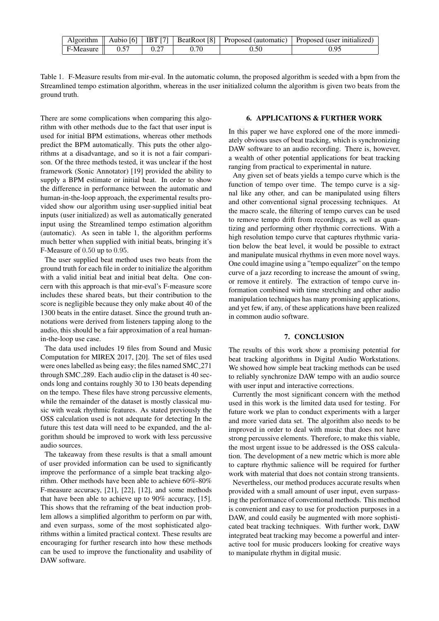|           |      |      | Algorithm    Aubio [6]   IBT [7]   BeatRoot [8]   Proposed (automatic)   Proposed (user initialized) |
|-----------|------|------|------------------------------------------------------------------------------------------------------|
| F-Measure | 0.27 | 0.50 | 0.95                                                                                                 |

<span id="page-3-0"></span>Table 1. F-Measure results from mir-eval. In the automatic column, the proposed algorithm is seeded with a bpm from the Streamlined tempo estimation algorithm, whereas in the user initialized column the algorithm is given two beats from the ground truth.

There are some complications when comparing this algorithm with other methods due to the fact that user input is used for initial BPM estimations, whereas other methods predict the BPM automatically. This puts the other algorithms at a disadvantage, and so it is not a fair comparison. Of the three methods tested, it was unclear if the host framework (Sonic Annotator) [\[19\]](#page-4-18) provided the ability to supply a BPM estimate or initial beat. In order to show the difference in performance between the automatic and human-in-the-loop approach, the experimental results provided show our algorithm using user-supplied initial beat inputs (user initialized) as well as automatically generated input using the Streamlined tempo estimation algorithm (automatic). As seen in table [1,](#page-3-0) the algorithm performs much better when supplied with initial beats, bringing it's F-Measure of 0.50 up to 0.95.

The user supplied beat method uses two beats from the ground truth for each file in order to initialize the algorithm with a valid initial beat and initial beat delta. One concern with this approach is that mir-eval's F-measure score includes these shared beats, but their contribution to the score is negligible because they only make about 40 of the 1300 beats in the entire dataset. Since the ground truth annotations were derived from listeners tapping along to the audio, this should be a fair approximation of a real humanin-the-loop use case.

The data used includes 19 files from Sound and Music Computation for MIREX 2017, [\[20\]](#page-4-19). The set of files used were ones labelled as being easy; the files named SMC 271 through SMC 289. Each audio clip in the dataset is 40 seconds long and contains roughly 30 to 130 beats depending on the tempo. These files have strong percussive elements, while the remainder of the dataset is mostly classical music with weak rhythmic features. As stated previously the OSS calculation used is not adequate for detecting In the future this test data will need to be expanded, and the algorithm should be improved to work with less percussive audio sources.

The takeaway from these results is that a small amount of user provided information can be used to significantly improve the performance of a simple beat tracking algorithm. Other methods have been able to achieve 60%-80% F-measure accuracy, [\[21\]](#page-4-20), [\[22\]](#page-4-21), [\[12\]](#page-4-11), and some methods that have been able to achieve up to 90% accuracy, [\[15\]](#page-4-14). This shows that the reframing of the beat induction problem allows a simplified algorithm to perform on par with, and even surpass, some of the most sophisticated algorithms within a limited practical context. These results are encouraging for further research into how these methods can be used to improve the functionality and usability of DAW software.

#### 6. APPLICATIONS & FURTHER WORK

In this paper we have explored one of the more immediately obvious uses of beat tracking, which is synchronizing DAW software to an audio recording. There is, however, a wealth of other potential applications for beat tracking ranging from practical to experimental in nature.

Any given set of beats yields a tempo curve which is the function of tempo over time. The tempo curve is a signal like any other, and can be manipulated using filters and other conventional signal processing techniques. At the macro scale, the filtering of tempo curves can be used to remove tempo drift from recordings, as well as quantizing and performing other rhythmic corrections. With a high resolution tempo curve that captures rhythmic variation below the beat level, it would be possible to extract and manipulate musical rhythms in even more novel ways. One could imagine using a "tempo equalizer" on the tempo curve of a jazz recording to increase the amount of swing, or remove it entirely. The extraction of tempo curve information combined with time stretching and other audio manipulation techniques has many promising applications, and yet few, if any, of these applications have been realized in common audio software.

## 7. CONCLUSION

The results of this work show a promising potential for beat tracking algorithms in Digital Audio Workstations. We showed how simple beat tracking methods can be used to reliably synchronize DAW tempo with an audio source with user input and interactive corrections.

Currently the most significant concern with the method used in this work is the limited data used for testing. For future work we plan to conduct experiments with a larger and more varied data set. The algorithm also needs to be improved in order to deal with music that does not have strong percussive elements. Therefore, to make this viable, the most urgent issue to be addressed is the OSS calculation. The development of a new metric which is more able to capture rhythmic salience will be required for further work with material that does not contain strong transients.

Nevertheless, our method produces accurate results when provided with a small amount of user input, even surpassing the performance of conventional methods. This method is convenient and easy to use for production purposes in a DAW, and could easily be augmented with more sophisticated beat tracking techniques. With further work, DAW integrated beat tracking may become a powerful and interactive tool for music producers looking for creative ways to manipulate rhythm in digital music.